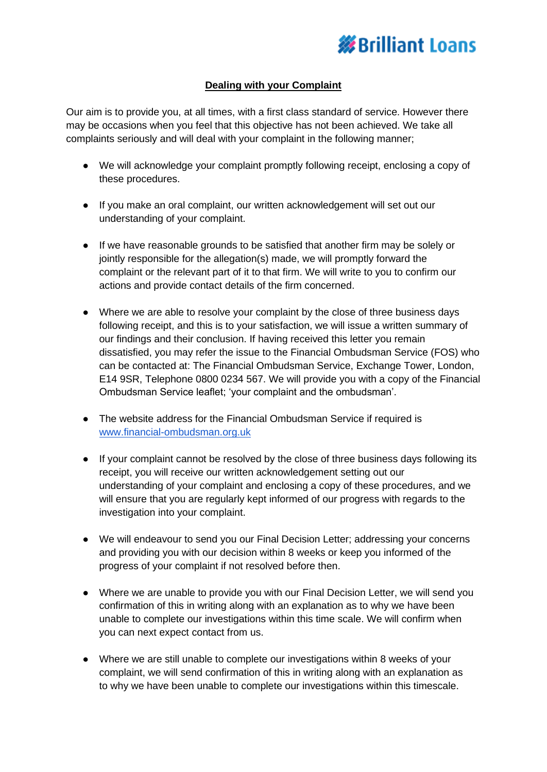

## **Dealing with your Complaint**

Our aim is to provide you, at all times, with a first class standard of service. However there may be occasions when you feel that this objective has not been achieved. We take all complaints seriously and will deal with your complaint in the following manner;

- We will acknowledge your complaint promptly following receipt, enclosing a copy of these procedures.
- If you make an oral complaint, our written acknowledgement will set out our understanding of your complaint.
- If we have reasonable grounds to be satisfied that another firm may be solely or jointly responsible for the allegation(s) made, we will promptly forward the complaint or the relevant part of it to that firm. We will write to you to confirm our actions and provide contact details of the firm concerned.
- Where we are able to resolve your complaint by the close of three business days following receipt, and this is to your satisfaction, we will issue a written summary of our findings and their conclusion. If having received this letter you remain dissatisfied, you may refer the issue to the Financial Ombudsman Service (FOS) who can be contacted at: The Financial Ombudsman Service, Exchange Tower, London, E14 9SR, Telephone 0800 0234 567. We will provide you with a copy of the Financial Ombudsman Service leaflet; 'your complaint and the ombudsman'.
- The website address for the Financial Ombudsman Service if required is [www.financial-ombudsman.org.uk](http://www.financial-ombudsman.org.uk/)
- If your complaint cannot be resolved by the close of three business days following its receipt, you will receive our written acknowledgement setting out our understanding of your complaint and enclosing a copy of these procedures, and we will ensure that you are regularly kept informed of our progress with regards to the investigation into your complaint.
- We will endeavour to send you our Final Decision Letter; addressing your concerns and providing you with our decision within 8 weeks or keep you informed of the progress of your complaint if not resolved before then.
- Where we are unable to provide you with our Final Decision Letter, we will send you confirmation of this in writing along with an explanation as to why we have been unable to complete our investigations within this time scale. We will confirm when you can next expect contact from us.
- Where we are still unable to complete our investigations within 8 weeks of your complaint, we will send confirmation of this in writing along with an explanation as to why we have been unable to complete our investigations within this timescale.